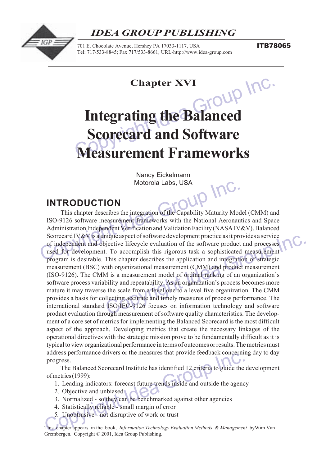## *IDEA GROUP PUBLISHING*

 $\mathbb{Z}_p$   $\mathbb{Z}_p$ 701 E. Chocolate Avenue, Hershey PA 17033-1117, USA Tel: 717/533-8845; Fax 717/533-8661; URL-http://www.idea-group.com

ITB78065

# Chapter XVI<br>
Integrating the Balanced<br>
Scorecard and Software<br>
Measurement Frameworks **Integrating the Balanced Scorecard and Software Measurement Frameworks**

Nancy Eickelmann<br>Motorola Labs, USA<br>Andrew March 100 -Motorola Labs, USA

## **INTRODUCTION**

Motorola Labs, USA<br>
INTRODUCTION<br>
This chapter describes the integration of the Capability Maturity Motorola<br>
ISO-9126 software measurement frameworks with the National Aeronau<br>
Administration Independent Verification and inque aspect of software development practice as it provides a service<br>igective lifecycle evaluation of the software product and processes<br>... To accomplish this rigorous task a sophisticated measurement<br>This chapter descr This chapter describes the integration of the Capability Maturity Model (CMM) and ISO-9126 software measurement frameworks with the National Aeronautics and Space Administration Independent Verification and Validation Facility (NASA IV&V). Balanced Scorecard IV&V is a unique aspect of software development practice as it provides a service of independent and objective lifecycle evaluation of the software product and processes used for development. To accomplish this rigorous task a sophisticated measurement program is desirable. This chapter describes the application and integration of strategic measurement (BSC) with organizational measurement (CMM) and product measurement (ISO-9126). The CMM is a measurement model of ordinal ranking of an organization's software process variability and repeatability. As an organization's process becomes more mature it may traverse the scale from a level one to a level five organization. The CMM provides a basis for collecting accurate and timely measures of process performance. The international standard ISO/IEC-9126 focuses on information technology and software product evaluation through measurement of software quality characteristics. The development of a core set of metrics for implementing the Balanced Scorecard is the most difficult aspect of the approach. Developing metrics that create the necessary linkages of the operational directives with the strategic mission prove to be fundamentally difficult as it is typical to view organizational performance in terms of outcomes or results. The metrics must address performance drivers or the measures that provide feedback concerning day to day progress.

The Balanced Scorecard Institute has identified 12 criteria to guide the<br>ofmetrics (1999):<br>1. Leading indicators: forecast future trends inside and outside the agence<br>2. Objective and unbiased<br>3. Normalized - so they can b The Balanced Scorecard Institute has identified 12 criteria to guide the development of metrics (1999):

- 1. Leading indicators: forecast future trends inside and outside the agency
- 2. Objective and unbiased
- 3. Normalized so they can be benchmarked against other agencies
- 4. Statistically reliable small margin of error
- 5. Unobtrusive not disruptive of work or trust

This chapter appears in the book, *Information Technology Evaluation Methods & Management* byWim Van Grembergen. Copyright © 2001, Idea Group Publishing.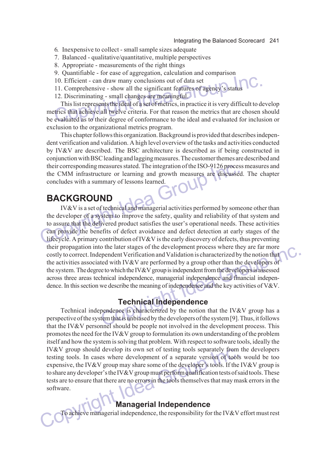#### Integrating the Balanced Scorecard 241

- 6. Inexpensive to collect small sample sizes adequate
- 7. Balanced qualitative/quantitative, multiple perspectives
- 8. Appropriate measurements of the right things
- 9. Quantifiable for ease of aggregation, calculation and comparison
- 10. Efficient can draw many conclusions out of data set
- 11. Comprehensive show all the significant features of agency's status
- 12. Discriminating small changes are meaningful.

10. Efficient - can draw many conclusions out of data set<br>
11. Comprehensive - show all the significant features of agency's status<br>
12. Discriminating - small changes are meaningful.<br>
This list represents the ideal of a s This list represents the ideal of a set of metrics, in practice it is very difficult to develop metrics that achieve all twelve criteria. For that reason the metrics that are chosen should exclusion to the organizational metrics program.

This chapter follows this organization. Background is provided that describes independent verification and validation. A high level overview of the tasks and activities conducted by IV&V are described. The BSC architecture is described as if being constructed in conjunction with BSC leading and lagging measures. The customer themes are described and their corresponding measures stated. The integration of the ISO-9126 process measures and the CMM infrastructure or learning and growth measures are discussed. The chapter concludes with a summary of lessons learned.

## **BACKGROUND**

their corresponding measures stated. The integration of the ISO-9126 proces<br>the CMM infrastructure or learning and growth measures are discusse<br>concludes with a summary of lessons learned.<br>**BACKGROUND**<br>IV&V is a set of tec For the latter stages of the development process where they are far more<br>pendent Verification and Validation is characterized by the notion that<br>ted with IV&V are performed by a group other than the developers of<br>e to whi IV&V is a set of technical and managerial activities performed by someone other than the developer of a system to improve the safety, quality and reliability of that system and to assure that the delivered product satisfies the user's operational needs. These activities can provide the benefits of defect avoidance and defect detection at early stages of the lifecycle. A primary contribution of IV&V is the early discovery of defects, thus preventing their propagation into the later stages of the development process where they are far more costly to correct. Independent Verification and Validation is characterized by the notion that the activities associated with IV&V are performed by a group other than the developers of the system. The degree to which the IV&V group is independent from the developers is assessed across three areas technical independence, managerial independence and financial independence. In this section we describe the meaning of independence and the key activities of V&V.

#### **Technical Independence**

IV&V group should develop its own set of testing tools separately from<br>testing tools. In cases where development of a separate version of tools<br>expensive, the IV&V group may share some of the developer's tools. If the<br>to s Technical independence is characterized by the notion that the IV&V group has a perspective of the system that is unbiased by the developers of the system [9]. Thus, it follows that the IV&V personnel should be people not involved in the development process. This promotes the need for the IV  $&V$  group to formulation its own understanding of the problem itself and how the system is solving that problem. With respect to software tools, ideally the IV&V group should develop its own set of testing tools separately from the developers testing tools. In cases where development of a separate version of tools would be too expensive, the IV&V group may share some of the developer's tools. If the IV&V group is to share any developer's the IV&V group must perform qualification tests of said tools. These tests are to ensure that there are no errors in the tools themselves that may mask errors in the software.

#### **Managerial Independence**

To achieve managerial independence, the responsibility for the IV&V effort must rest